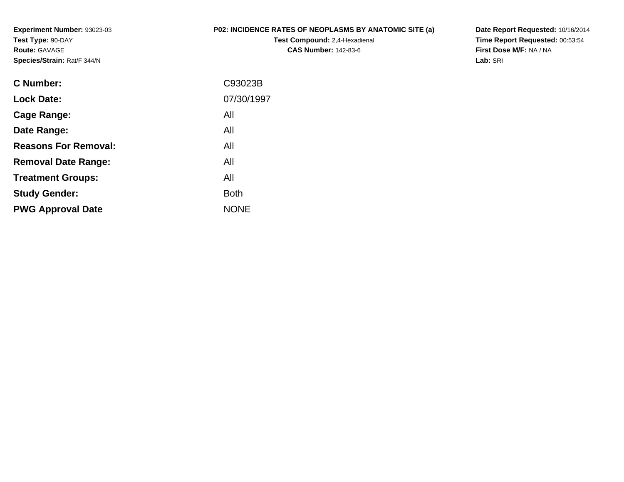**Experiment Number:** 93023-03**Test Type:** 90-DAY**Route:** GAVAGE**Species/Strain:** Rat/F 344/N

## **P02: INCIDENCE RATES OF NEOPLASMS BY ANATOMIC SITE (a)**

**Test Compound:** 2,4-Hexadienal **CAS Number:** 142-83-6

**Date Report Requested:** 10/16/2014 **Time Report Requested:** 00:53:54**First Dose M/F:** NA / NA**Lab:** SRI

| C Number:                   | C93023B     |
|-----------------------------|-------------|
| <b>Lock Date:</b>           | 07/30/1997  |
| Cage Range:                 | All         |
| Date Range:                 | All         |
| <b>Reasons For Removal:</b> | All         |
| <b>Removal Date Range:</b>  | All         |
| <b>Treatment Groups:</b>    | All         |
| <b>Study Gender:</b>        | <b>Both</b> |
| <b>PWG Approval Date</b>    | <b>NONE</b> |
|                             |             |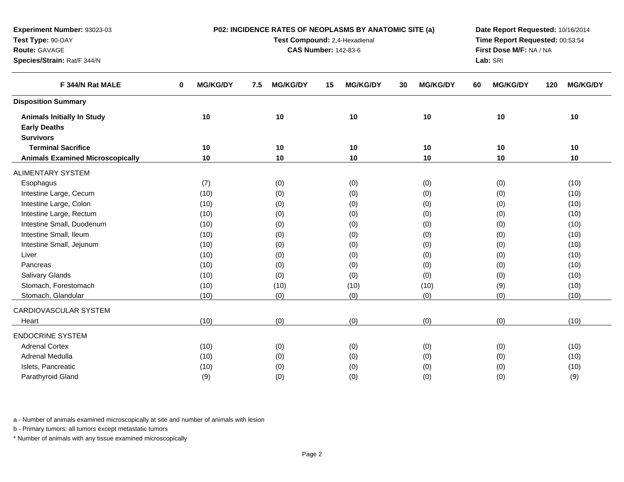| Route: GAVAGE                           |                                |                        | <b>CAS Number: 142-83-6</b> |                       | First Dose M/F: NA / NA<br>Lab: SRI |                        |  |  |  |  |
|-----------------------------------------|--------------------------------|------------------------|-----------------------------|-----------------------|-------------------------------------|------------------------|--|--|--|--|
| Species/Strain: Rat/F 344/N             |                                |                        |                             |                       |                                     |                        |  |  |  |  |
| F 344/N Rat MALE                        | <b>MG/KG/DY</b><br>$\mathbf 0$ | <b>MG/KG/DY</b><br>7.5 | <b>MG/KG/DY</b><br>15       | <b>MG/KG/DY</b><br>30 | <b>MG/KG/DY</b><br>60               | <b>MG/KG/DY</b><br>120 |  |  |  |  |
| <b>Disposition Summary</b>              |                                |                        |                             |                       |                                     |                        |  |  |  |  |
| <b>Animals Initially In Study</b>       | $10$                           | 10                     | 10                          | 10                    | 10                                  | 10                     |  |  |  |  |
| <b>Early Deaths</b>                     |                                |                        |                             |                       |                                     |                        |  |  |  |  |
| <b>Survivors</b>                        |                                |                        |                             |                       |                                     |                        |  |  |  |  |
| <b>Terminal Sacrifice</b>               | 10                             | 10                     | 10                          | 10                    | 10                                  | 10                     |  |  |  |  |
| <b>Animals Examined Microscopically</b> | 10                             | 10                     | 10                          | 10                    | 10                                  | 10                     |  |  |  |  |
| <b>ALIMENTARY SYSTEM</b>                |                                |                        |                             |                       |                                     |                        |  |  |  |  |
| Esophagus                               | (7)                            | (0)                    | (0)                         | (0)                   | (0)                                 | (10)                   |  |  |  |  |
| Intestine Large, Cecum                  | (10)                           | (0)                    | (0)                         | (0)                   | (0)                                 | (10)                   |  |  |  |  |
| Intestine Large, Colon                  | (10)                           | (0)                    | (0)                         | (0)                   | (0)                                 | (10)                   |  |  |  |  |
| Intestine Large, Rectum                 | (10)                           | (0)                    | (0)                         | (0)                   | (0)                                 | (10)                   |  |  |  |  |
| Intestine Small, Duodenum               | (10)                           | (0)                    | (0)                         | (0)                   | (0)                                 | (10)                   |  |  |  |  |
| Intestine Small, Ileum                  | (10)                           | (0)                    | (0)                         | (0)                   | (0)                                 | (10)                   |  |  |  |  |
| Intestine Small, Jejunum                | (10)                           | (0)                    | (0)                         | (0)                   | (0)                                 | (10)                   |  |  |  |  |
| Liver                                   | (10)                           | (0)                    | (0)                         | (0)                   | (0)                                 | (10)                   |  |  |  |  |
| Pancreas                                | (10)                           | (0)                    | (0)                         | (0)                   | (0)                                 | (10)                   |  |  |  |  |
| Salivary Glands                         | (10)                           | (0)                    | (0)                         | (0)                   | (0)                                 | (10)                   |  |  |  |  |
| Stomach, Forestomach                    | (10)                           | (10)                   | (10)                        | (10)                  | (9)                                 | (10)                   |  |  |  |  |
| Stomach, Glandular                      | (10)                           | (0)                    | (0)                         | (0)                   | (0)                                 | (10)                   |  |  |  |  |
| CARDIOVASCULAR SYSTEM                   |                                |                        |                             |                       |                                     |                        |  |  |  |  |
| Heart                                   | (10)                           | (0)                    | (0)                         | (0)                   | (0)                                 | (10)                   |  |  |  |  |
| <b>ENDOCRINE SYSTEM</b>                 |                                |                        |                             |                       |                                     |                        |  |  |  |  |
| <b>Adrenal Cortex</b>                   | (10)                           | (0)                    | (0)                         | (0)                   | (0)                                 | (10)                   |  |  |  |  |
| Adrenal Medulla                         | (10)                           | (0)                    | (0)                         | (0)                   | (0)                                 | (10)                   |  |  |  |  |
| Islets, Pancreatic                      | (10)                           | (0)                    | (0)                         | (0)                   | (0)                                 | (10)                   |  |  |  |  |
| Parathyroid Gland                       | (9)                            | (0)                    | (0)                         | (0)                   | (0)                                 | (9)                    |  |  |  |  |

**P02: INCIDENCE RATES OF NEOPLASMS BY ANATOMIC SITE (a)Test Compound:** 2,4-Hexadienal

**Date Report Requested:** 10/16/2014**Time Report Requested:** 00:53:54

a - Number of animals examined microscopically at site and number of animals with lesion

b - Primary tumors: all tumors except metastatic tumors

**Experiment Number:** 93023-03

**Test Type:** 90-DAY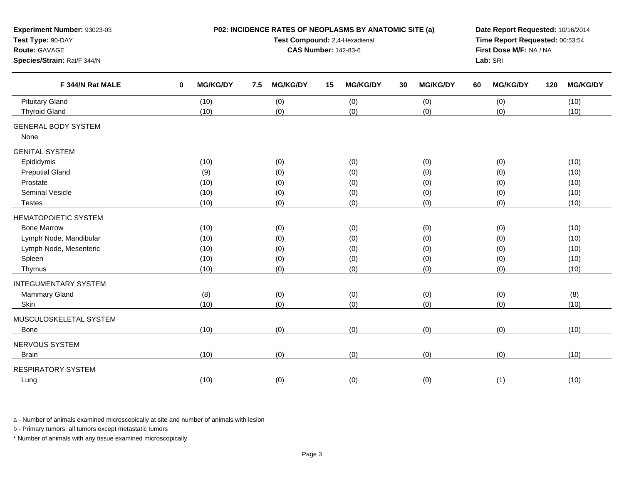| Experiment Number: 93023-03<br>Test Type: 90-DAY<br>Route: GAVAGE<br>Species/Strain: Rat/F 344/N |                             | P02: INCIDENCE RATES OF NEOPLASMS BY ANATOMIC SITE (a)<br>Test Compound: 2,4-Hexadienal<br><b>CAS Number: 142-83-6</b> | Date Report Requested: 10/16/2014<br>Time Report Requested: 00:53:54<br>First Dose M/F: NA / NA<br>Lab: SRI |                                                             |                       |                        |
|--------------------------------------------------------------------------------------------------|-----------------------------|------------------------------------------------------------------------------------------------------------------------|-------------------------------------------------------------------------------------------------------------|-------------------------------------------------------------|-----------------------|------------------------|
| F 344/N Rat MALE                                                                                 | <b>MG/KG/DY</b><br>$\bf{0}$ | <b>MG/KG/DY</b><br>7.5                                                                                                 | <b>MG/KG/DY</b><br>15                                                                                       | <b>MG/KG/DY</b><br>30                                       | <b>MG/KG/DY</b><br>60 | <b>MG/KG/DY</b><br>120 |
| <b>Pituitary Gland</b>                                                                           | (10)                        | (0)                                                                                                                    | (0)                                                                                                         | (0)                                                         | (0)                   | (10)                   |
| <b>Thyroid Gland</b>                                                                             | (10)                        | (0)                                                                                                                    | (0)                                                                                                         | (0)                                                         | (0)                   | (10)                   |
| <b>GENERAL BODY SYSTEM</b><br>None                                                               |                             |                                                                                                                        |                                                                                                             |                                                             |                       |                        |
| <b>GENITAL SYSTEM</b>                                                                            |                             |                                                                                                                        |                                                                                                             |                                                             |                       |                        |
| Epididymis                                                                                       | (10)                        | (0)                                                                                                                    |                                                                                                             |                                                             | (0)                   | (10)                   |
| <b>Preputial Gland</b>                                                                           | (9)                         | (0)                                                                                                                    | (0)                                                                                                         | (0)                                                         | (0)                   | (10)                   |
| Prostate                                                                                         | (10)                        | (0)                                                                                                                    | (0)                                                                                                         | (0)                                                         | (0)                   | (10)                   |
| Seminal Vesicle                                                                                  | (10)                        | (0)                                                                                                                    | (0)                                                                                                         | (0)                                                         | (0)                   | (10)                   |
| Testes                                                                                           | (10)                        | (0)                                                                                                                    | (0)                                                                                                         | (0)                                                         | (0)                   | (10)                   |
| <b>HEMATOPOIETIC SYSTEM</b>                                                                      |                             |                                                                                                                        |                                                                                                             |                                                             |                       |                        |
| <b>Bone Marrow</b>                                                                               | (10)                        | (0)                                                                                                                    |                                                                                                             |                                                             | (0)                   | (10)                   |
| Lymph Node, Mandibular                                                                           | (10)                        | (0)                                                                                                                    |                                                                                                             |                                                             | (0)                   | (10)                   |
| Lymph Node, Mesenteric                                                                           | (10)                        | (0)                                                                                                                    | (0)                                                                                                         | (0)                                                         | (0)                   | (10)                   |
| Spleen                                                                                           | (10)                        | (0)                                                                                                                    | (0)                                                                                                         | (0)                                                         | (0)                   | (10)                   |
| Thymus                                                                                           | (10)                        | (0)                                                                                                                    | (0)                                                                                                         | (0)                                                         | (0)                   | (10)                   |
| <b>INTEGUMENTARY SYSTEM</b>                                                                      |                             |                                                                                                                        |                                                                                                             |                                                             |                       |                        |
| Mammary Gland                                                                                    | (8)                         | (0)                                                                                                                    |                                                                                                             |                                                             | (0)                   | (8)                    |
| Skin                                                                                             | (10)                        | (0)                                                                                                                    | (0)                                                                                                         | (0)                                                         | (0)                   | (10)                   |
| MUSCULOSKELETAL SYSTEM                                                                           |                             |                                                                                                                        |                                                                                                             |                                                             |                       |                        |
| Bone                                                                                             | (10)                        | (0)                                                                                                                    | (0)                                                                                                         | (0)                                                         | (0)                   | (10)                   |
| NERVOUS SYSTEM                                                                                   |                             |                                                                                                                        |                                                                                                             |                                                             |                       |                        |
| <b>Brain</b>                                                                                     | (10)                        | (0)                                                                                                                    | (0)                                                                                                         | (0)                                                         | (0)                   | (10)                   |
| <b>RESPIRATORY SYSTEM</b>                                                                        |                             |                                                                                                                        |                                                                                                             |                                                             |                       |                        |
| Lung                                                                                             | (10)                        | (0)                                                                                                                    | (0)                                                                                                         | (0)<br>(0)<br>(0)<br>(0)<br>(0)<br>(0)<br>(0)<br>(0)<br>(0) |                       | (10)                   |

b - Primary tumors: all tumors except metastatic tumors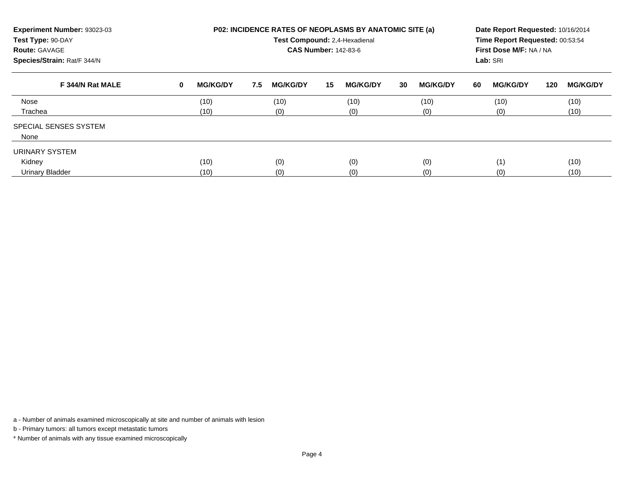| Experiment Number: 93023-03<br>Test Type: 90-DAY<br><b>Route: GAVAGE</b><br>Species/Strain: Rat/F 344/N |   | <b>P02: INCIDENCE RATES OF NEOPLASMS BY ANATOMIC SITE (a)</b><br>Test Compound: 2,4-Hexadienal<br><b>CAS Number: 142-83-6</b> |     |                 |    |                 |    |                 |    |                 | Date Report Requested: 10/16/2014<br>Time Report Requested: 00:53:54<br>First Dose M/F: NA / NA<br>Lab: SRI |                 |  |  |
|---------------------------------------------------------------------------------------------------------|---|-------------------------------------------------------------------------------------------------------------------------------|-----|-----------------|----|-----------------|----|-----------------|----|-----------------|-------------------------------------------------------------------------------------------------------------|-----------------|--|--|
| F 344/N Rat MALE                                                                                        | 0 | <b>MG/KG/DY</b>                                                                                                               | 7.5 | <b>MG/KG/DY</b> | 15 | <b>MG/KG/DY</b> | 30 | <b>MG/KG/DY</b> | 60 | <b>MG/KG/DY</b> | 120                                                                                                         | <b>MG/KG/DY</b> |  |  |
| Nose                                                                                                    |   | (10)                                                                                                                          |     | (10)            |    | (10)            |    | (10)            |    | (10)            |                                                                                                             | (10)            |  |  |
| Trachea                                                                                                 |   | (10)                                                                                                                          |     | (0)             |    | (0)             |    | (0)             |    | (0)             |                                                                                                             | (10)            |  |  |
| <b>SPECIAL SENSES SYSTEM</b><br>None                                                                    |   |                                                                                                                               |     |                 |    |                 |    |                 |    |                 |                                                                                                             |                 |  |  |
| URINARY SYSTEM                                                                                          |   |                                                                                                                               |     |                 |    |                 |    |                 |    |                 |                                                                                                             |                 |  |  |
| Kidney                                                                                                  |   | (10)                                                                                                                          |     | (0)             |    | (0)             |    | (0)             |    | (1)             |                                                                                                             | (10)            |  |  |
| <b>Urinary Bladder</b>                                                                                  |   | (10)                                                                                                                          |     | (0)             |    | (0)             |    | (0)             |    | (0)             |                                                                                                             | (10)            |  |  |

b - Primary tumors: all tumors except metastatic tumors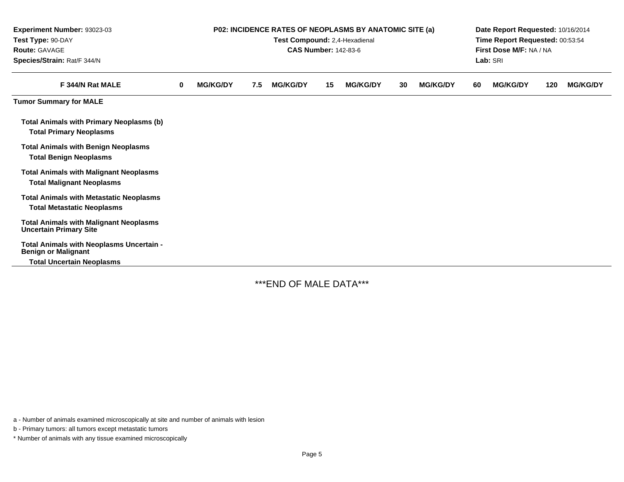| Experiment Number: 93023-03<br>Test Type: 90-DAY<br><b>Route: GAVAGE</b><br>Species/Strain: Rat/F 344/N    | <b>P02: INCIDENCE RATES OF NEOPLASMS BY ANATOMIC SITE (a)</b><br>Test Compound: 2,4-Hexadienal<br><b>CAS Number: 142-83-6</b> |                 |     |                 |    |                 |    |                 |    | Date Report Requested: 10/16/2014<br>Time Report Requested: 00:53:54<br>First Dose M/F: NA / NA<br>Lab: SRI |     |                 |  |  |
|------------------------------------------------------------------------------------------------------------|-------------------------------------------------------------------------------------------------------------------------------|-----------------|-----|-----------------|----|-----------------|----|-----------------|----|-------------------------------------------------------------------------------------------------------------|-----|-----------------|--|--|
| F 344/N Rat MALE                                                                                           | $\bf{0}$                                                                                                                      | <b>MG/KG/DY</b> | 7.5 | <b>MG/KG/DY</b> | 15 | <b>MG/KG/DY</b> | 30 | <b>MG/KG/DY</b> | 60 | <b>MG/KG/DY</b>                                                                                             | 120 | <b>MG/KG/DY</b> |  |  |
| <b>Tumor Summary for MALE</b>                                                                              |                                                                                                                               |                 |     |                 |    |                 |    |                 |    |                                                                                                             |     |                 |  |  |
| <b>Total Animals with Primary Neoplasms (b)</b><br><b>Total Primary Neoplasms</b>                          |                                                                                                                               |                 |     |                 |    |                 |    |                 |    |                                                                                                             |     |                 |  |  |
| <b>Total Animals with Benign Neoplasms</b><br><b>Total Benign Neoplasms</b>                                |                                                                                                                               |                 |     |                 |    |                 |    |                 |    |                                                                                                             |     |                 |  |  |
| <b>Total Animals with Malignant Neoplasms</b><br><b>Total Malignant Neoplasms</b>                          |                                                                                                                               |                 |     |                 |    |                 |    |                 |    |                                                                                                             |     |                 |  |  |
| <b>Total Animals with Metastatic Neoplasms</b><br><b>Total Metastatic Neoplasms</b>                        |                                                                                                                               |                 |     |                 |    |                 |    |                 |    |                                                                                                             |     |                 |  |  |
| <b>Total Animals with Malignant Neoplasms</b><br><b>Uncertain Primary Site</b>                             |                                                                                                                               |                 |     |                 |    |                 |    |                 |    |                                                                                                             |     |                 |  |  |
| Total Animals with Neoplasms Uncertain -<br><b>Benign or Malignant</b><br><b>Total Uncertain Neoplasms</b> |                                                                                                                               |                 |     |                 |    |                 |    |                 |    |                                                                                                             |     |                 |  |  |

\*\*\*END OF MALE DATA\*\*\*

a - Number of animals examined microscopically at site and number of animals with lesion

b - Primary tumors: all tumors except metastatic tumors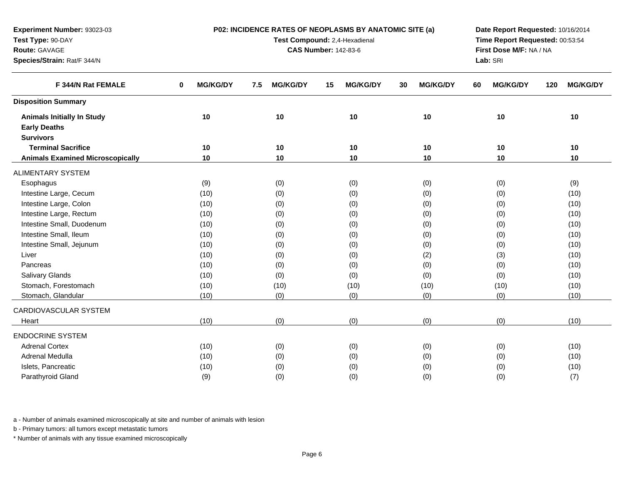| Route: GAVAGE<br>Species/Strain: Rat/F 344/N |                             |                        | <b>CAS Number: 142-83-6</b> |                       | First Dose M/F: NA / NA<br>Lab: SRI<br><b>MG/KG/DY</b><br>120<br>60 |                 |  |  |  |  |
|----------------------------------------------|-----------------------------|------------------------|-----------------------------|-----------------------|---------------------------------------------------------------------|-----------------|--|--|--|--|
|                                              |                             |                        |                             |                       |                                                                     |                 |  |  |  |  |
| F 344/N Rat FEMALE                           | <b>MG/KG/DY</b><br>$\bf{0}$ | <b>MG/KG/DY</b><br>7.5 | <b>MG/KG/DY</b><br>15       | <b>MG/KG/DY</b><br>30 |                                                                     | <b>MG/KG/DY</b> |  |  |  |  |
| <b>Disposition Summary</b>                   |                             |                        |                             |                       |                                                                     |                 |  |  |  |  |
| <b>Animals Initially In Study</b>            | 10                          | 10                     | 10                          | 10                    | 10                                                                  | 10              |  |  |  |  |
| <b>Early Deaths</b>                          |                             |                        |                             |                       |                                                                     |                 |  |  |  |  |
| <b>Survivors</b>                             |                             |                        |                             |                       |                                                                     |                 |  |  |  |  |
| <b>Terminal Sacrifice</b>                    | 10                          | 10                     | 10                          | 10                    | 10                                                                  | 10              |  |  |  |  |
| <b>Animals Examined Microscopically</b>      | 10                          | 10                     | 10                          | 10                    | 10                                                                  | 10              |  |  |  |  |
| <b>ALIMENTARY SYSTEM</b>                     |                             |                        |                             |                       |                                                                     |                 |  |  |  |  |
| Esophagus                                    | (9)                         | (0)                    | (0)                         | (0)                   | (0)                                                                 | (9)             |  |  |  |  |
| Intestine Large, Cecum                       | (10)                        | (0)                    | (0)                         | (0)                   | (0)                                                                 | (10)            |  |  |  |  |
| Intestine Large, Colon                       | (10)                        | (0)                    | (0)                         | (0)                   | (0)                                                                 | (10)            |  |  |  |  |
| Intestine Large, Rectum                      | (10)                        | (0)                    | (0)                         | (0)                   | (0)                                                                 | (10)            |  |  |  |  |
| Intestine Small, Duodenum                    | (10)                        | (0)                    | (0)                         | (0)                   | (0)                                                                 | (10)            |  |  |  |  |
| Intestine Small, Ileum                       | (10)                        | (0)                    | (0)                         | (0)                   | (0)                                                                 | (10)            |  |  |  |  |
| Intestine Small, Jejunum                     | (10)                        | (0)                    | (0)                         | (0)                   | (0)                                                                 | (10)            |  |  |  |  |
| Liver                                        | (10)                        | (0)                    | (0)                         | (2)                   | (3)                                                                 | (10)            |  |  |  |  |
| Pancreas                                     | (10)                        | (0)                    | (0)                         | (0)                   | (0)                                                                 | (10)            |  |  |  |  |
| <b>Salivary Glands</b>                       | (10)                        | (0)                    | (0)                         | (0)                   | (0)                                                                 | (10)            |  |  |  |  |
| Stomach, Forestomach                         | (10)                        | (10)                   | (10)                        | (10)                  | (10)                                                                | (10)            |  |  |  |  |
| Stomach, Glandular                           | (10)                        | (0)                    | (0)                         | (0)                   | (0)                                                                 | (10)            |  |  |  |  |
| CARDIOVASCULAR SYSTEM                        |                             |                        |                             |                       |                                                                     |                 |  |  |  |  |
| Heart                                        | (10)                        | (0)                    | (0)                         | (0)                   | (0)                                                                 | (10)            |  |  |  |  |
| <b>ENDOCRINE SYSTEM</b>                      |                             |                        |                             |                       |                                                                     |                 |  |  |  |  |
| <b>Adrenal Cortex</b>                        | (10)                        | (0)                    | (0)                         | (0)                   | (0)                                                                 | (10)            |  |  |  |  |
| Adrenal Medulla                              | (10)                        | (0)                    | (0)                         | (0)                   | (0)                                                                 | (10)            |  |  |  |  |
| Islets, Pancreatic                           | (10)                        | (0)                    | (0)                         | (0)                   | (0)                                                                 | (10)            |  |  |  |  |
| Parathyroid Gland                            | (9)                         | (0)                    | (0)                         | (0)                   | (0)                                                                 | (7)             |  |  |  |  |

**P02: INCIDENCE RATES OF NEOPLASMS BY ANATOMIC SITE (a)Test Compound:** 2,4-Hexadienal

**Date Report Requested:** 10/16/2014**Time Report Requested:** 00:53:54

a - Number of animals examined microscopically at site and number of animals with lesion

b - Primary tumors: all tumors except metastatic tumors

**Experiment Number:** 93023-03

**Test Type:** 90-DAY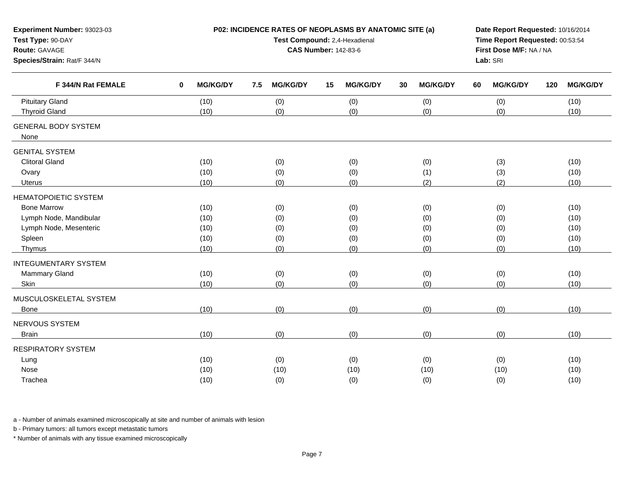| Experiment Number: 93023-03<br>Test Type: 90-DAY<br>Route: GAVAGE<br>Species/Strain: Rat/F 344/N                          |                                      | P02: INCIDENCE RATES OF NEOPLASMS BY ANATOMIC SITE (a)<br>Test Compound: 2,4-Hexadienal<br><b>CAS Number: 142-83-6</b> | Date Report Requested: 10/16/2014<br>Time Report Requested: 00:53:54<br>First Dose M/F: NA / NA<br>Lab: SRI |                                 |                                 |                                      |
|---------------------------------------------------------------------------------------------------------------------------|--------------------------------------|------------------------------------------------------------------------------------------------------------------------|-------------------------------------------------------------------------------------------------------------|---------------------------------|---------------------------------|--------------------------------------|
| F 344/N Rat FEMALE                                                                                                        | <b>MG/KG/DY</b><br>0                 | <b>MG/KG/DY</b><br>7.5                                                                                                 | <b>MG/KG/DY</b><br>15                                                                                       | <b>MG/KG/DY</b><br>30           | <b>MG/KG/DY</b><br>60           | <b>MG/KG/DY</b><br>120               |
| <b>Pituitary Gland</b><br><b>Thyroid Gland</b>                                                                            | (10)<br>(10)                         | (0)<br>(0)                                                                                                             | (0)<br>(0)                                                                                                  | (0)<br>(0)                      | (0)<br>(0)                      | (10)<br>(10)                         |
| <b>GENERAL BODY SYSTEM</b><br>None                                                                                        |                                      |                                                                                                                        |                                                                                                             |                                 |                                 |                                      |
| <b>GENITAL SYSTEM</b><br><b>Clitoral Gland</b><br>Ovary<br><b>Uterus</b>                                                  | (10)<br>(10)<br>(10)                 | (0)<br>(0)<br>(0)                                                                                                      | (0)<br>(0)<br>(0)                                                                                           | (0)<br>(1)<br>(2)               | (3)<br>(3)<br>(2)               | (10)<br>(10)<br>(10)                 |
| <b>HEMATOPOIETIC SYSTEM</b><br><b>Bone Marrow</b><br>Lymph Node, Mandibular<br>Lymph Node, Mesenteric<br>Spleen<br>Thymus | (10)<br>(10)<br>(10)<br>(10)<br>(10) | (0)<br>(0)<br>(0)<br>(0)<br>(0)                                                                                        | (0)<br>(0)<br>(0)<br>(0)<br>(0)                                                                             | (0)<br>(0)<br>(0)<br>(0)<br>(0) | (0)<br>(0)<br>(0)<br>(0)<br>(0) | (10)<br>(10)<br>(10)<br>(10)<br>(10) |
| <b>INTEGUMENTARY SYSTEM</b><br>Mammary Gland<br>Skin                                                                      | (10)<br>(10)                         | (0)<br>(0)                                                                                                             | (0)<br>(0)                                                                                                  | (0)<br>(0)                      | (0)<br>(0)                      | (10)<br>(10)                         |
| MUSCULOSKELETAL SYSTEM<br>Bone<br>NERVOUS SYSTEM                                                                          | (10)                                 | (0)                                                                                                                    | (0)                                                                                                         | (0)                             | (0)                             | (10)                                 |
| <b>Brain</b><br><b>RESPIRATORY SYSTEM</b><br>Lung<br>Nose<br>Trachea                                                      | (10)<br>(10)<br>(10)<br>(10)         | (0)<br>(0)<br>(10)<br>(0)                                                                                              | (0)<br>(0)<br>(10)<br>(0)                                                                                   | (0)<br>(0)<br>(10)<br>(0)       | (0)<br>(0)<br>(10)<br>(0)       | (10)<br>(10)<br>(10)<br>(10)         |

b - Primary tumors: all tumors except metastatic tumors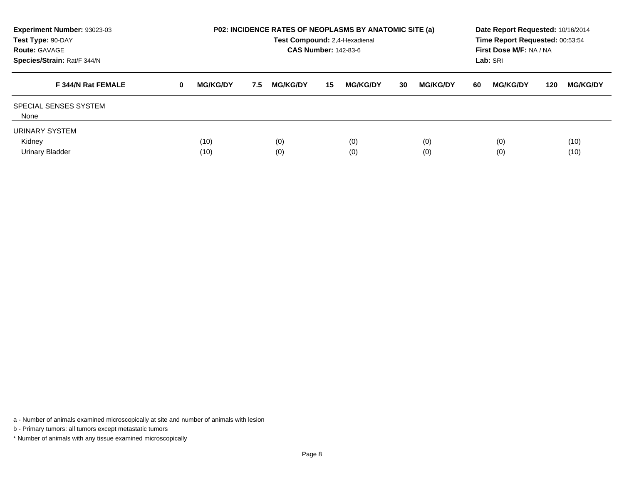| Experiment Number: 93023-03<br>Test Type: 90-DAY<br><b>Route: GAVAGE</b><br>Species/Strain: Rat/F 344/N |          | <b>P02: INCIDENCE RATES OF NEOPLASMS BY ANATOMIC SITE (a)</b><br>Test Compound: 2,4-Hexadienal<br><b>CAS Number: 142-83-6</b> |     |                 |    |                 |    |                 |    |                 | Date Report Requested: 10/16/2014<br>Time Report Requested: 00:53:54<br>First Dose M/F: NA / NA<br>Lab: SRI |                 |  |  |
|---------------------------------------------------------------------------------------------------------|----------|-------------------------------------------------------------------------------------------------------------------------------|-----|-----------------|----|-----------------|----|-----------------|----|-----------------|-------------------------------------------------------------------------------------------------------------|-----------------|--|--|
| F 344/N Rat FEMALE                                                                                      | $\bf{0}$ | <b>MG/KG/DY</b>                                                                                                               | 7.5 | <b>MG/KG/DY</b> | 15 | <b>MG/KG/DY</b> | 30 | <b>MG/KG/DY</b> | 60 | <b>MG/KG/DY</b> | 120                                                                                                         | <b>MG/KG/DY</b> |  |  |
| <b>SPECIAL SENSES SYSTEM</b><br>None                                                                    |          |                                                                                                                               |     |                 |    |                 |    |                 |    |                 |                                                                                                             |                 |  |  |
| URINARY SYSTEM                                                                                          |          |                                                                                                                               |     |                 |    |                 |    |                 |    |                 |                                                                                                             |                 |  |  |
| Kidney<br>Urinary Bladder                                                                               |          | (10)<br>(10)                                                                                                                  |     | (0)<br>(0)      |    | (0)<br>(0)      |    | (0)<br>(0)      |    | (0)<br>(0)      |                                                                                                             | (10)<br>(10)    |  |  |

b - Primary tumors: all tumors except metastatic tumors